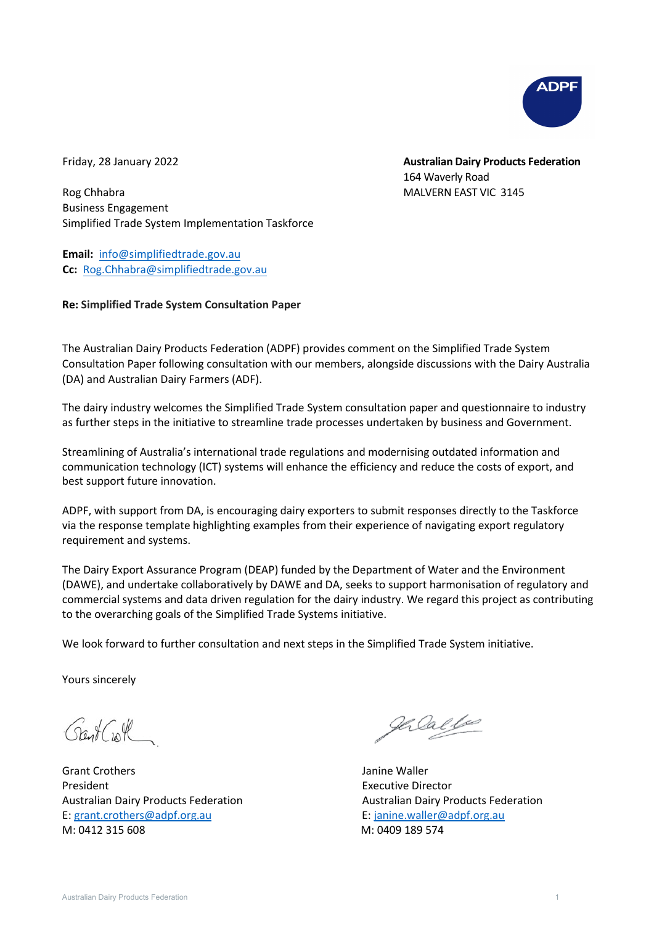

Friday, 28 January 2022

**Australian Dairy Products Federation** 164 Waverly Road MALVERN EAST VIC 3145

Rog Chhabra Business Engagement Simplified Trade System Implementation Taskforce

**Email:** [info@simplifiedtrade.gov.au](mailto:info@simplifiedtrade.gov.au) **Cc:** [Rog.Chhabra@simplifiedtrade.gov.au](mailto:Rog.Chhabra@simplifiedtrade.gov.au)

## **Re: Simplified Trade System Consultation Paper**

The Australian Dairy Products Federation (ADPF) provides comment on the Simplified Trade System Consultation Paper following consultation with our members, alongside discussions with the Dairy Australia (DA) and Australian Dairy Farmers (ADF).

The dairy industry welcomes the Simplified Trade System consultation paper and questionnaire to industry as further steps in the initiative to streamline trade processes undertaken by business and Government.

Streamlining of Australia's international trade regulations and modernising outdated information and communication technology (ICT) systems will enhance the efficiency and reduce the costs of export, and best support future innovation.

ADPF, with support from DA, is encouraging dairy exporters to submit responses directly to the Taskforce via the response template highlighting examples from their experience of navigating export regulatory requirement and systems.

The Dairy Export Assurance Program (DEAP) funded by the Department of Water and the Environment (DAWE), and undertake collaboratively by DAWE and DA, seeks to support harmonisation of regulatory and commercial systems and data driven regulation for the dairy industry. We regard this project as contributing to the overarching goals of the Simplified Trade Systems initiative.

We look forward to further consultation and next steps in the Simplified Trade System initiative.

Yours sincerely

Grant Croth

Grant Crothers **Grant Crothers Janine Waller** President **Executive Director Executive Director** Australian Dairy Products Federation **Australian Dairy Products Federation** E[: grant.crothers@adpf.org.au](mailto:grant.crothers@adpf.org.au) E: [janine.waller@adpf.org.au](mailto:janine.waller@adpf.org.au) M: 0412 315 608 M: 0409 189 574

gercalle